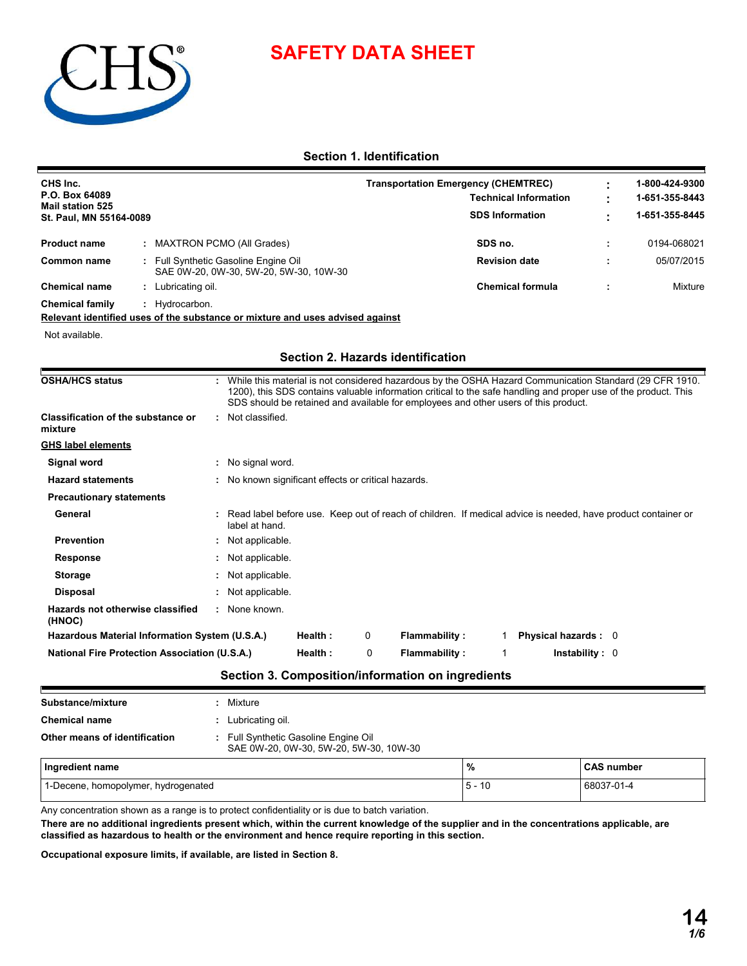



## **Section 1. Identification**

| CHS Inc.<br>P.O. Box 64089                                                    |                                                                              |         |   | <b>Transportation Emergency (CHEMTREC)</b>                                                                                                                                                                                                                                                                        |         | <b>Technical Information</b> | 1-800-424-9300<br>1-651-355-8443 |
|-------------------------------------------------------------------------------|------------------------------------------------------------------------------|---------|---|-------------------------------------------------------------------------------------------------------------------------------------------------------------------------------------------------------------------------------------------------------------------------------------------------------------------|---------|------------------------------|----------------------------------|
| <b>Mail station 525</b>                                                       |                                                                              |         |   |                                                                                                                                                                                                                                                                                                                   |         | <b>SDS Information</b>       | 1-651-355-8445                   |
| St. Paul, MN 55164-0089                                                       |                                                                              |         |   |                                                                                                                                                                                                                                                                                                                   |         |                              |                                  |
| <b>Product name</b>                                                           | <b>MAXTRON PCMO (All Grades)</b>                                             |         |   |                                                                                                                                                                                                                                                                                                                   | SDS no. |                              | 0194-068021                      |
| <b>Common name</b>                                                            | Full Synthetic Gasoline Engine Oil<br>SAE 0W-20, 0W-30, 5W-20, 5W-30, 10W-30 |         |   |                                                                                                                                                                                                                                                                                                                   |         | <b>Revision date</b>         | 05/07/2015                       |
| <b>Chemical name</b><br>: Lubricating oil.                                    |                                                                              |         |   |                                                                                                                                                                                                                                                                                                                   |         | <b>Chemical formula</b>      | Mixture                          |
| <b>Chemical family</b><br>: Hydrocarbon.                                      |                                                                              |         |   |                                                                                                                                                                                                                                                                                                                   |         |                              |                                  |
| Relevant identified uses of the substance or mixture and uses advised against |                                                                              |         |   |                                                                                                                                                                                                                                                                                                                   |         |                              |                                  |
| Not available.                                                                |                                                                              |         |   |                                                                                                                                                                                                                                                                                                                   |         |                              |                                  |
|                                                                               |                                                                              |         |   | Section 2. Hazards identification                                                                                                                                                                                                                                                                                 |         |                              |                                  |
| <b>OSHA/HCS status</b>                                                        |                                                                              |         |   | While this material is not considered hazardous by the OSHA Hazard Communication Standard (29 CFR 1910.<br>1200), this SDS contains valuable information critical to the safe handling and proper use of the product. This<br>SDS should be retained and available for employees and other users of this product. |         |                              |                                  |
| <b>Classification of the substance or</b><br>mixture                          | : Not classified.                                                            |         |   |                                                                                                                                                                                                                                                                                                                   |         |                              |                                  |
| <b>GHS label elements</b>                                                     |                                                                              |         |   |                                                                                                                                                                                                                                                                                                                   |         |                              |                                  |
| Signal word                                                                   | : No signal word.                                                            |         |   |                                                                                                                                                                                                                                                                                                                   |         |                              |                                  |
| <b>Hazard statements</b>                                                      | : No known significant effects or critical hazards.                          |         |   |                                                                                                                                                                                                                                                                                                                   |         |                              |                                  |
| <b>Precautionary statements</b>                                               |                                                                              |         |   |                                                                                                                                                                                                                                                                                                                   |         |                              |                                  |
| General                                                                       | label at hand.                                                               |         |   | Read label before use. Keep out of reach of children. If medical advice is needed, have product container or                                                                                                                                                                                                      |         |                              |                                  |
| <b>Prevention</b>                                                             | Not applicable.                                                              |         |   |                                                                                                                                                                                                                                                                                                                   |         |                              |                                  |
| <b>Response</b>                                                               | Not applicable.                                                              |         |   |                                                                                                                                                                                                                                                                                                                   |         |                              |                                  |
| <b>Storage</b>                                                                | Not applicable.                                                              |         |   |                                                                                                                                                                                                                                                                                                                   |         |                              |                                  |
| <b>Disposal</b>                                                               | Not applicable.                                                              |         |   |                                                                                                                                                                                                                                                                                                                   |         |                              |                                  |
| Hazards not otherwise classified<br>(HNOC)                                    | None known.<br>÷.                                                            |         |   |                                                                                                                                                                                                                                                                                                                   |         |                              |                                  |
| Hazardous Material Information System (U.S.A.)                                |                                                                              | Health: | 0 | <b>Flammability:</b>                                                                                                                                                                                                                                                                                              |         | Physical hazards: 0          |                                  |
| <b>National Fire Protection Association (U.S.A.)</b>                          |                                                                              | Health: | 0 | <b>Flammability:</b>                                                                                                                                                                                                                                                                                              | 1       | <b>Instability: 0</b>        |                                  |
|                                                                               |                                                                              |         |   | Section 3. Composition/information on ingredients                                                                                                                                                                                                                                                                 |         |                              |                                  |

| Substance/mixture                   |  | : Mixture                                                                      |                   |  |
|-------------------------------------|--|--------------------------------------------------------------------------------|-------------------|--|
| <b>Chemical name</b>                |  | : Lubricating oil.                                                             |                   |  |
| Other means of identification       |  | : Full Synthetic Gasoline Engine Oil<br>SAE 0W-20, 0W-30, 5W-20, 5W-30, 10W-30 |                   |  |
| Ingredient name                     |  | $\%$                                                                           | <b>CAS number</b> |  |
| 1-Decene, homopolymer, hydrogenated |  | $5 - 10$                                                                       | 68037-01-4        |  |

Any concentration shown as a range is to protect confidentiality or is due to batch variation.

**There are no additional ingredients present which, within the current knowledge of the supplier and in the concentrations applicable, are classified as hazardous to health or the environment and hence require reporting in this section.**

**Occupational exposure limits, if available, are listed in Section 8.**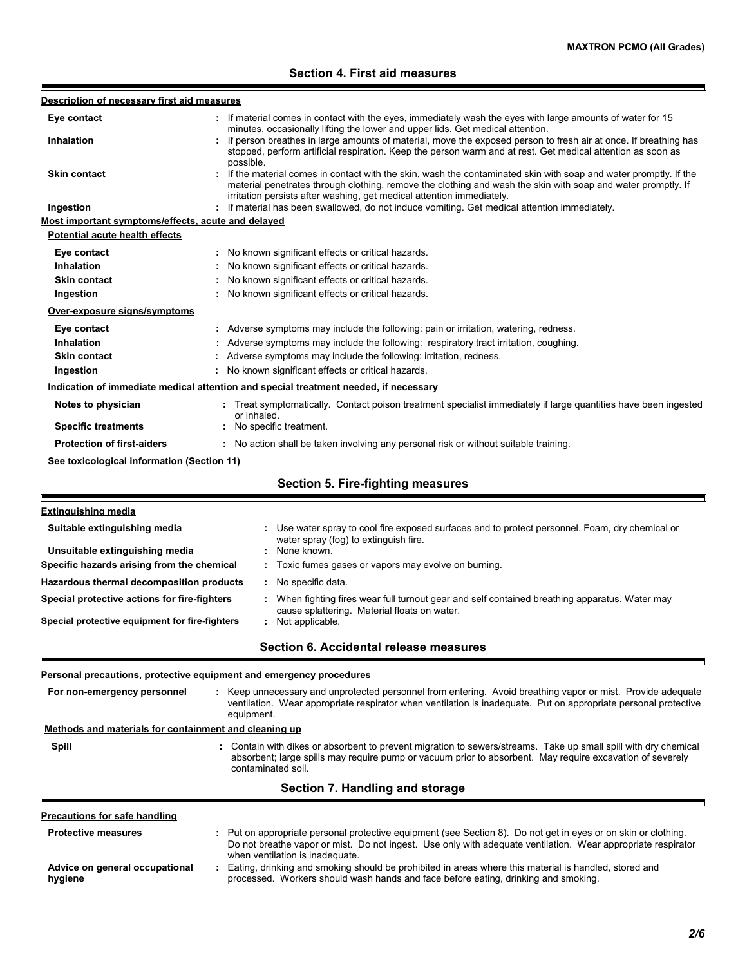## **Section 4. First aid measures**

| Description of necessary first aid measures           |                                                                                                                                                                                                                                                                                                          |
|-------------------------------------------------------|----------------------------------------------------------------------------------------------------------------------------------------------------------------------------------------------------------------------------------------------------------------------------------------------------------|
| Eye contact                                           | If material comes in contact with the eyes, immediately wash the eyes with large amounts of water for 15                                                                                                                                                                                                 |
| Inhalation                                            | minutes, occasionally lifting the lower and upper lids. Get medical attention.<br>: If person breathes in large amounts of material, move the exposed person to fresh air at once. If breathing has                                                                                                      |
|                                                       | stopped, perform artificial respiration. Keep the person warm and at rest. Get medical attention as soon as<br>possible.                                                                                                                                                                                 |
| <b>Skin contact</b>                                   | If the material comes in contact with the skin, wash the contaminated skin with soap and water promptly. If the<br>material penetrates through clothing, remove the clothing and wash the skin with soap and water promptly. If<br>irritation persists after washing, get medical attention immediately. |
| Ingestion                                             | : If material has been swallowed, do not induce vomiting. Get medical attention immediately.                                                                                                                                                                                                             |
| Most important symptoms/effects, acute and delayed    |                                                                                                                                                                                                                                                                                                          |
| <b>Potential acute health effects</b>                 |                                                                                                                                                                                                                                                                                                          |
| Eye contact                                           | : No known significant effects or critical hazards.                                                                                                                                                                                                                                                      |
| Inhalation                                            | : No known significant effects or critical hazards.                                                                                                                                                                                                                                                      |
| <b>Skin contact</b>                                   | : No known significant effects or critical hazards.                                                                                                                                                                                                                                                      |
| Ingestion                                             | : No known significant effects or critical hazards.                                                                                                                                                                                                                                                      |
| Over-exposure signs/symptoms                          |                                                                                                                                                                                                                                                                                                          |
| Eye contact                                           | : Adverse symptoms may include the following: pain or irritation, watering, redness.                                                                                                                                                                                                                     |
| Inhalation                                            | Adverse symptoms may include the following: respiratory tract irritation, coughing.                                                                                                                                                                                                                      |
| <b>Skin contact</b>                                   | Adverse symptoms may include the following: irritation, redness.                                                                                                                                                                                                                                         |
| Ingestion                                             | No known significant effects or critical hazards.                                                                                                                                                                                                                                                        |
|                                                       | Indication of immediate medical attention and special treatment needed, if necessary                                                                                                                                                                                                                     |
| Notes to physician                                    | : Treat symptomatically. Contact poison treatment specialist immediately if large quantities have been ingested                                                                                                                                                                                          |
| <b>Specific treatments</b>                            | or inhaled.<br>No specific treatment.                                                                                                                                                                                                                                                                    |
| <b>Protection of first-aiders</b>                     | : No action shall be taken involving any personal risk or without suitable training.                                                                                                                                                                                                                     |
| See toxicological information (Section 11)            |                                                                                                                                                                                                                                                                                                          |
|                                                       | <b>Section 5. Fire-fighting measures</b>                                                                                                                                                                                                                                                                 |
| <b>Extinguishing media</b>                            |                                                                                                                                                                                                                                                                                                          |
| Suitable extinguishing media                          | Use water spray to cool fire exposed surfaces and to protect personnel. Foam, dry chemical or<br>water spray (fog) to extinguish fire.                                                                                                                                                                   |
| Unsuitable extinguishing media                        | None known.                                                                                                                                                                                                                                                                                              |
| Specific hazards arising from the chemical            | Toxic fumes gases or vapors may evolve on burning.                                                                                                                                                                                                                                                       |
| Hazardous thermal decomposition products              | : No specific data.                                                                                                                                                                                                                                                                                      |
| Special protective actions for fire-fighters          | : When fighting fires wear full turnout gear and self contained breathing apparatus. Water may<br>cause splattering. Material floats on water.                                                                                                                                                           |
| Special protective equipment for fire-fighters        | : Not applicable.                                                                                                                                                                                                                                                                                        |
|                                                       | Section 6. Accidental release measures                                                                                                                                                                                                                                                                   |
|                                                       | Personal precautions, protective equipment and emergency procedures                                                                                                                                                                                                                                      |
| For non-emergency personnel                           | : Keep unnecessary and unprotected personnel from entering. Avoid breathing vapor or mist. Provide adequate<br>ventilation. Wear appropriate respirator when ventilation is inadequate. Put on appropriate personal protective<br>equipment.                                                             |
| Methods and materials for containment and cleaning up |                                                                                                                                                                                                                                                                                                          |
| Spill                                                 | : Contain with dikes or absorbent to prevent migration to sewers/streams. Take up small spill with dry chemical<br>absorbent; large spills may require pump or vacuum prior to absorbent. May require excavation of severely<br>contaminated soil.                                                       |
|                                                       | Section 7. Handling and storage                                                                                                                                                                                                                                                                          |
| <b>Precautions for safe handling</b>                  |                                                                                                                                                                                                                                                                                                          |
| <b>Protective measures</b>                            | : Put on appropriate personal protective equipment (see Section 8). Do not get in eyes or on skin or clothing.<br>Do not breathe vapor or mist. Do not ingest. Use only with adequate ventilation. Wear appropriate respirator<br>when ventilation is inadequate.                                        |
| Advice on general occupational<br>hygiene             | Eating, drinking and smoking should be prohibited in areas where this material is handled, stored and<br>÷.<br>processed. Workers should wash hands and face before eating, drinking and smoking.                                                                                                        |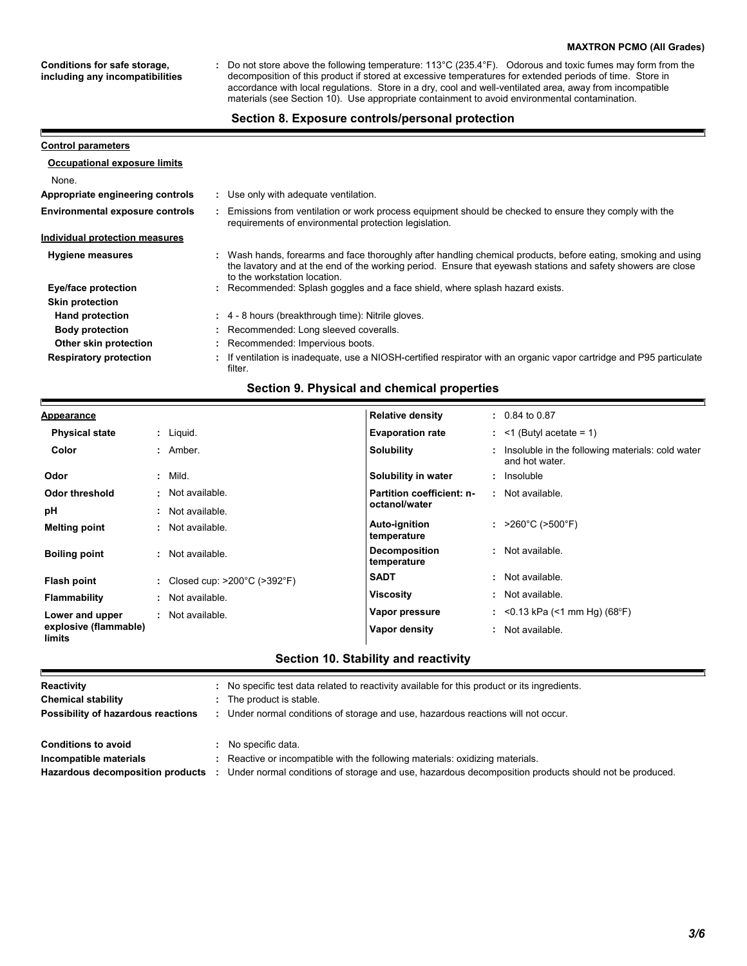#### **MAXTRON PCMO (All Grades)**

**Conditions for safe storage, including any incompatibilities**

Р

Do not store above the following temperature: 113°C (235.4°F). Odorous and toxic fumes may form from the decomposition of this product if stored at excessive temperatures for extended periods of time. Store in accordance with local regulations. Store in a dry, cool and well-ventilated area, away from incompatible materials (see Section 10). Use appropriate containment to avoid environmental contamination. **:**

#### **Section 8. Exposure controls/personal protection**

| <b>Control parameters</b>              |                                                                                                                                                                                                                                                               |
|----------------------------------------|---------------------------------------------------------------------------------------------------------------------------------------------------------------------------------------------------------------------------------------------------------------|
| <b>Occupational exposure limits</b>    |                                                                                                                                                                                                                                                               |
| None.                                  |                                                                                                                                                                                                                                                               |
| Appropriate engineering controls       | : Use only with adequate ventilation.                                                                                                                                                                                                                         |
| <b>Environmental exposure controls</b> | Emissions from ventilation or work process equipment should be checked to ensure they comply with the<br>requirements of environmental protection legislation.                                                                                                |
| Individual protection measures         |                                                                                                                                                                                                                                                               |
| <b>Hygiene measures</b>                | : Wash hands, forearms and face thoroughly after handling chemical products, before eating, smoking and using<br>the lavatory and at the end of the working period. Ensure that eyewash stations and safety showers are close<br>to the workstation location. |
| Eye/face protection                    | : Recommended: Splash goggles and a face shield, where splash hazard exists.                                                                                                                                                                                  |
| <b>Skin protection</b>                 |                                                                                                                                                                                                                                                               |
| <b>Hand protection</b>                 | : 4 - 8 hours (breakthrough time): Nitrile gloves.                                                                                                                                                                                                            |
| <b>Body protection</b>                 | : Recommended: Long sleeved coveralls.                                                                                                                                                                                                                        |
| Other skin protection                  | : Recommended: Impervious boots.                                                                                                                                                                                                                              |
| <b>Respiratory protection</b>          | : If ventilation is inadequate, use a NIOSH-certified respirator with an organic vapor cartridge and P95 particulate<br>filter.                                                                                                                               |

## **Section 9. Physical and chemical properties**

| <b>Appearance</b>               |                                                    | <b>Relative density</b>             | $: 0.84$ to 0.87                                                     |
|---------------------------------|----------------------------------------------------|-------------------------------------|----------------------------------------------------------------------|
| <b>Physical state</b>           | : Liquid.                                          | <b>Evaporation rate</b>             | $:$ <1 (Butyl acetate = 1)                                           |
| Color                           | : Amber.                                           | <b>Solubility</b>                   | : Insoluble in the following materials: cold water<br>and hot water. |
| Odor                            | $:$ Mild.                                          | Solubility in water                 | : Insoluble                                                          |
| Odor threshold                  | · Not available.                                   | Partition coefficient: n-           | : Not available.                                                     |
| рH                              | Not available.                                     | octanol/water                       |                                                                      |
| <b>Melting point</b>            | Not available.<br>÷.                               | <b>Auto-ignition</b><br>temperature | : $>260^{\circ}$ C ( $>500^{\circ}$ F)                               |
| <b>Boiling point</b>            | : Not available.                                   | <b>Decomposition</b><br>temperature | : Not available.                                                     |
| Flash point                     | : Closed cup: $>200^{\circ}$ C ( $>392^{\circ}$ F) | <b>SADT</b>                         | : Not available.                                                     |
| <b>Flammability</b>             | : Not available.                                   | <b>Viscosity</b>                    | : Not available.                                                     |
| Lower and upper                 | Not available.                                     | Vapor pressure                      | : < 0.13 kPa (< 1 mm Hg) (68°F)                                      |
| explosive (flammable)<br>limits |                                                    | Vapor density                       | : Not available.                                                     |

## **Section 10. Stability and reactivity**

| Reactivity                         | No specific test data related to reactivity available for this product or its ingredients.           |
|------------------------------------|------------------------------------------------------------------------------------------------------|
| <b>Chemical stability</b>          | The product is stable.                                                                               |
| Possibility of hazardous reactions | Under normal conditions of storage and use, hazardous reactions will not occur.                      |
| <b>Conditions to avoid</b>         | No specific data.                                                                                    |
| Incompatible materials             | Reactive or incompatible with the following materials: oxidizing materials.                          |
| Hazardous decomposition products   | Under normal conditions of storage and use, hazardous decomposition products should not be produced. |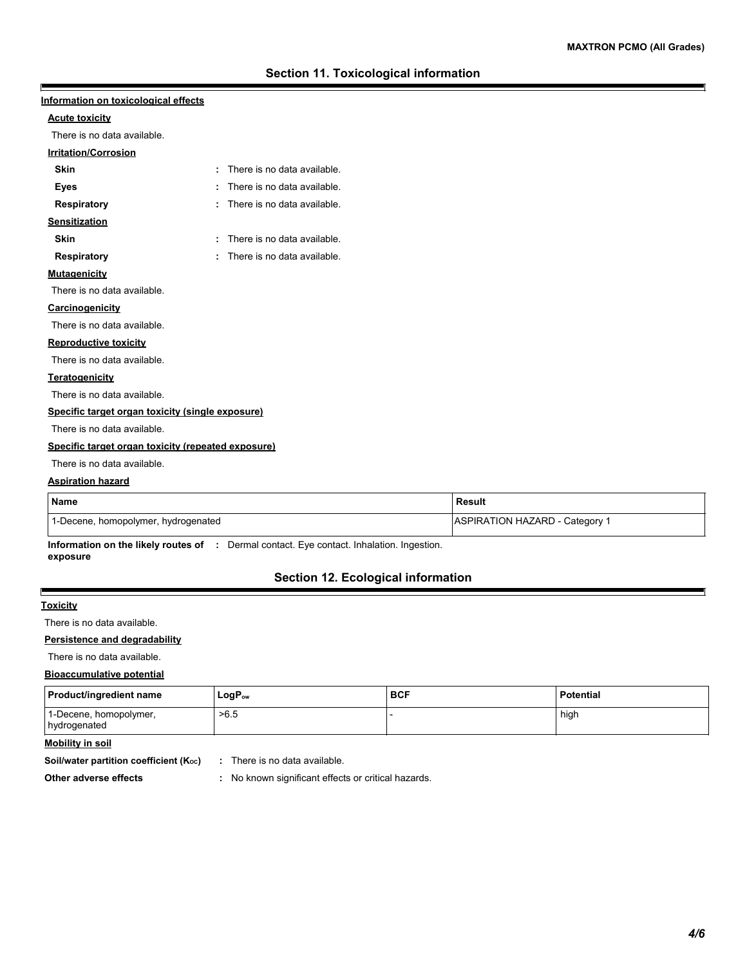| Information on toxicological effects               |   |                             |  |
|----------------------------------------------------|---|-----------------------------|--|
| <b>Acute toxicity</b>                              |   |                             |  |
| There is no data available.                        |   |                             |  |
| <b>Irritation/Corrosion</b>                        |   |                             |  |
| <b>Skin</b>                                        | ٠ | There is no data available. |  |
| Eyes                                               |   | There is no data available. |  |
| <b>Respiratory</b>                                 | ÷ | There is no data available. |  |
| <b>Sensitization</b>                               |   |                             |  |
| <b>Skin</b>                                        | ÷ | There is no data available. |  |
| <b>Respiratory</b>                                 | ٠ | There is no data available. |  |
| <b>Mutagenicity</b>                                |   |                             |  |
| There is no data available.                        |   |                             |  |
| <b>Carcinogenicity</b>                             |   |                             |  |
| There is no data available.                        |   |                             |  |
| <b>Reproductive toxicity</b>                       |   |                             |  |
| There is no data available.                        |   |                             |  |
| <b>Teratogenicity</b>                              |   |                             |  |
| There is no data available.                        |   |                             |  |
| Specific target organ toxicity (single exposure)   |   |                             |  |
| There is no data available.                        |   |                             |  |
| Specific target organ toxicity (repeated exposure) |   |                             |  |
| There is no data available.                        |   |                             |  |
| <b>Aspiration hazard</b>                           |   |                             |  |
|                                                    |   |                             |  |

| <b>Name</b>                         | Result                         |
|-------------------------------------|--------------------------------|
| 1-Decene, homopolymer, hydrogenated | ASPIRATION HAZARD - Category 1 |

**Information on the likely routes of :** Dermal contact. Eye contact. Inhalation. Ingestion. **exposure**

# **Section 12. Ecological information**

#### **Toxicity**

 $\blacksquare$ 

There is no data available.

#### **Persistence and degradability**

There is no data available.

#### **Bioaccumulative potential**

| <b>Product/ingredient name</b>         | $LogP_{ow}$ | <b>BCF</b> | <b>Potential</b> |
|----------------------------------------|-------------|------------|------------------|
| 1-Decene, homopolymer,<br>hydrogenated | >6.5        |            | high             |

## **Mobility in soil**

**Soil/water partition coefficient (K<sub>oc</sub>) :** There is no data available.

- 
- **Other adverse effects :** No known significant effects or critical hazards.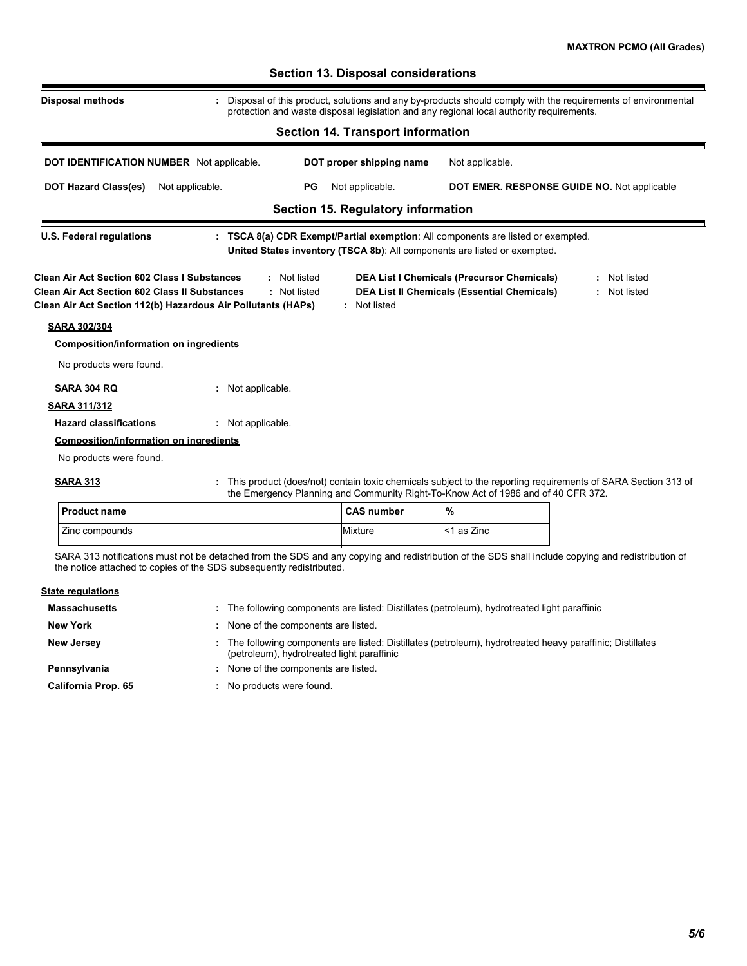|                                                                                                                                                                             | protection and waste disposal legislation and any regional local authority requirements.                                                                                                          |                              |
|-----------------------------------------------------------------------------------------------------------------------------------------------------------------------------|---------------------------------------------------------------------------------------------------------------------------------------------------------------------------------------------------|------------------------------|
|                                                                                                                                                                             | <b>Section 14. Transport information</b>                                                                                                                                                          |                              |
| <b>DOT IDENTIFICATION NUMBER</b> Not applicable.                                                                                                                            | DOT proper shipping name<br>Not applicable.                                                                                                                                                       |                              |
| <b>DOT Hazard Class(es)</b><br>Not applicable.                                                                                                                              | Not applicable.<br>PG<br>DOT EMER. RESPONSE GUIDE NO. Not applicable                                                                                                                              |                              |
|                                                                                                                                                                             | <b>Section 15. Regulatory information</b>                                                                                                                                                         |                              |
| <b>U.S. Federal regulations</b>                                                                                                                                             | : TSCA 8(a) CDR Exempt/Partial exemption: All components are listed or exempted.<br>United States inventory (TSCA 8b): All components are listed or exempted.                                     |                              |
| <b>Clean Air Act Section 602 Class I Substances</b><br><b>Clean Air Act Section 602 Class II Substances</b><br>Clean Air Act Section 112(b) Hazardous Air Pollutants (HAPs) | <b>DEA List I Chemicals (Precursor Chemicals)</b><br>: Not listed<br>: Not listed<br><b>DEA List II Chemicals (Essential Chemicals)</b><br>: Not listed                                           | : Not listed<br>: Not listed |
| <b>SARA 302/304</b>                                                                                                                                                         |                                                                                                                                                                                                   |                              |
| <b>Composition/information on ingredients</b>                                                                                                                               |                                                                                                                                                                                                   |                              |
| No products were found.                                                                                                                                                     |                                                                                                                                                                                                   |                              |
| <b>SARA 304 RQ</b>                                                                                                                                                          | : Not applicable.                                                                                                                                                                                 |                              |
| <b>SARA 311/312</b>                                                                                                                                                         |                                                                                                                                                                                                   |                              |
| <b>Hazard classifications</b>                                                                                                                                               | : Not applicable.                                                                                                                                                                                 |                              |
| <b>Composition/information on ingredients</b>                                                                                                                               |                                                                                                                                                                                                   |                              |
| No products were found.                                                                                                                                                     |                                                                                                                                                                                                   |                              |
| <b>SARA 313</b>                                                                                                                                                             | This product (does/not) contain toxic chemicals subject to the reporting requirements of SARA Section 313 of<br>the Emergency Planning and Community Right-To-Know Act of 1986 and of 40 CFR 372. |                              |

| the Linergency Framing and Community inghit-To-Miow Action 1900 and of 40 CH in |                   |            |  |
|---------------------------------------------------------------------------------|-------------------|------------|--|
| l Product name                                                                  | <b>CAS number</b> | %          |  |
| Zinc compounds                                                                  | <b>Mixture</b>    | <1 as Zinc |  |

SARA 313 notifications must not be detached from the SDS and any copying and redistribution of the SDS shall include copying and redistribution of the notice attached to copies of the SDS subsequently redistributed.

| <b>State regulations</b>   |                                                                                                                                                          |
|----------------------------|----------------------------------------------------------------------------------------------------------------------------------------------------------|
| <b>Massachusetts</b>       | : The following components are listed: Distillates (petroleum), hydrotreated light paraffinic                                                            |
| <b>New York</b>            | : None of the components are listed.                                                                                                                     |
| <b>New Jersey</b>          | . The following components are listed: Distillates (petroleum), hydrotreated heavy paraffinic; Distillates<br>(petroleum), hydrotreated light paraffinic |
| Pennsylvania               | : None of the components are listed.                                                                                                                     |
| <b>California Prop. 65</b> | : No products were found.                                                                                                                                |

## **Section 13. Disposal considerations**